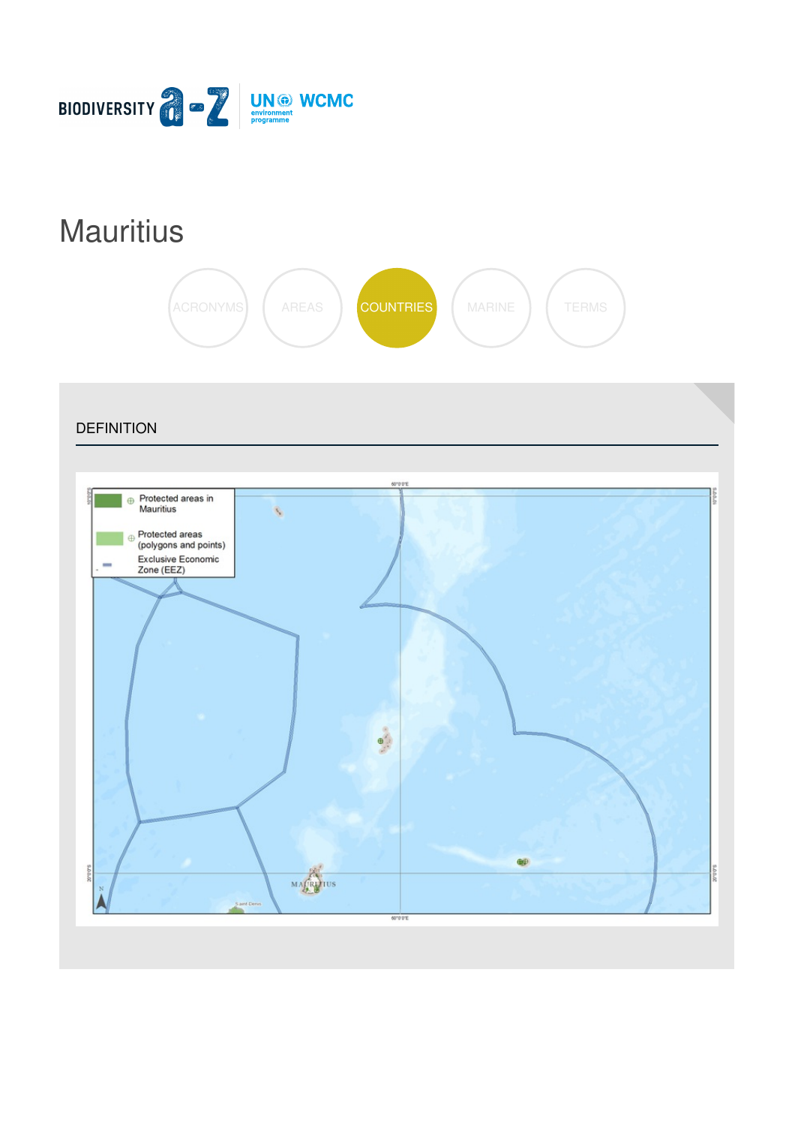

# **[Mauritius](https://biodiversitya-z.org/content/mauritius)**



**DEFINITION** Protected areas in  $\oplus$ Mauritius  $\epsilon$ Protected areas (polygons and points) Exclusive Economic<br>Zone (EEZ)  $\bigoplus$ saduo MAGRUPIUS 60°0'0'E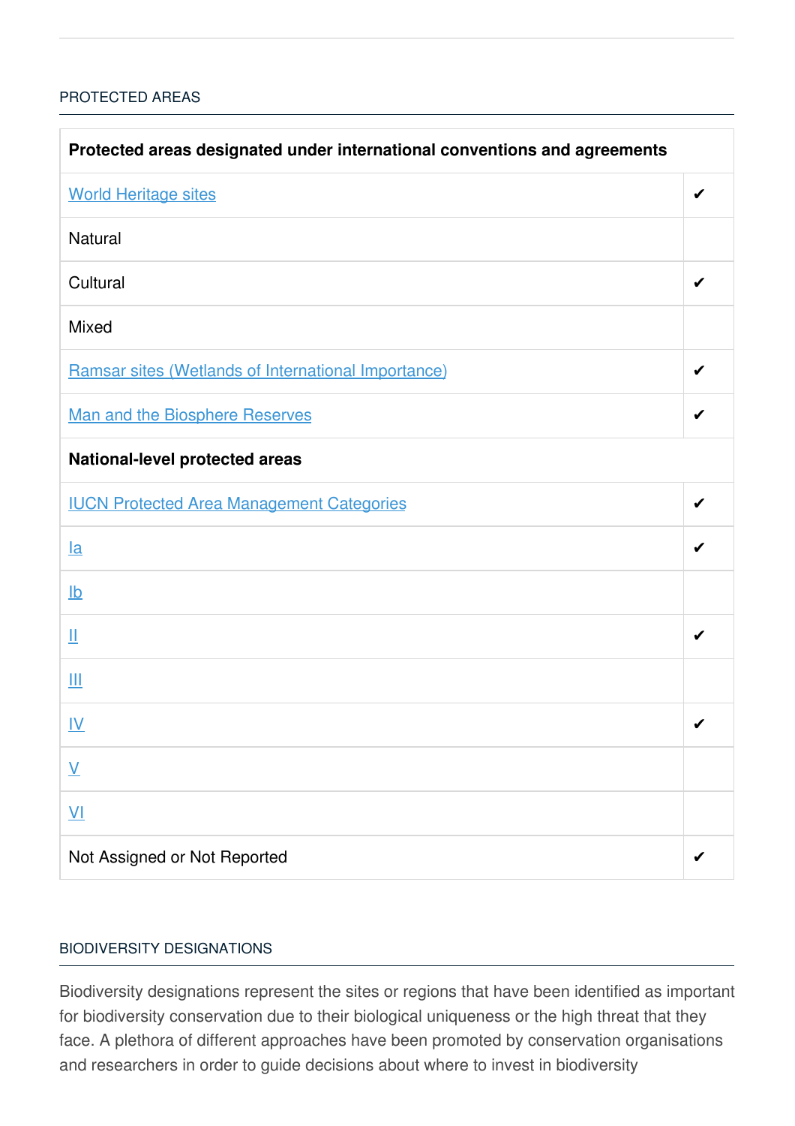### [PROTECTED](javascript:void(0)) AREAS

| Protected areas designated under international conventions and agreements |   |  |
|---------------------------------------------------------------------------|---|--|
| <b>World Heritage sites</b>                                               | ✔ |  |
| <b>Natural</b>                                                            |   |  |
| Cultural                                                                  |   |  |
| <b>Mixed</b>                                                              |   |  |
| Ramsar sites (Wetlands of International Importance)                       | ✔ |  |
| Man and the Biosphere Reserves                                            | ✔ |  |
| <b>National-level protected areas</b>                                     |   |  |
| <b>IUCN Protected Area Management Categories</b>                          | ✔ |  |
| $l$ a                                                                     |   |  |
| $\underline{\mathsf{lb}}$                                                 |   |  |
| Щ                                                                         | ✔ |  |
| Ш                                                                         |   |  |
| <u>IV</u>                                                                 | ✔ |  |
| $\underline{\mathsf{V}}$                                                  |   |  |
| $\underline{\mathsf{V}}$                                                  |   |  |
| Not Assigned or Not Reported                                              |   |  |

#### BIODIVERSITY [DESIGNATIONS](javascript:void(0))

Biodiversity designations represent the sites or regions that have been identified as important for biodiversity conservation due to their biological uniqueness or the high threat that they face. A plethora of different approaches have been promoted by conservation organisations and researchers in order to guide decisions about where to invest in biodiversity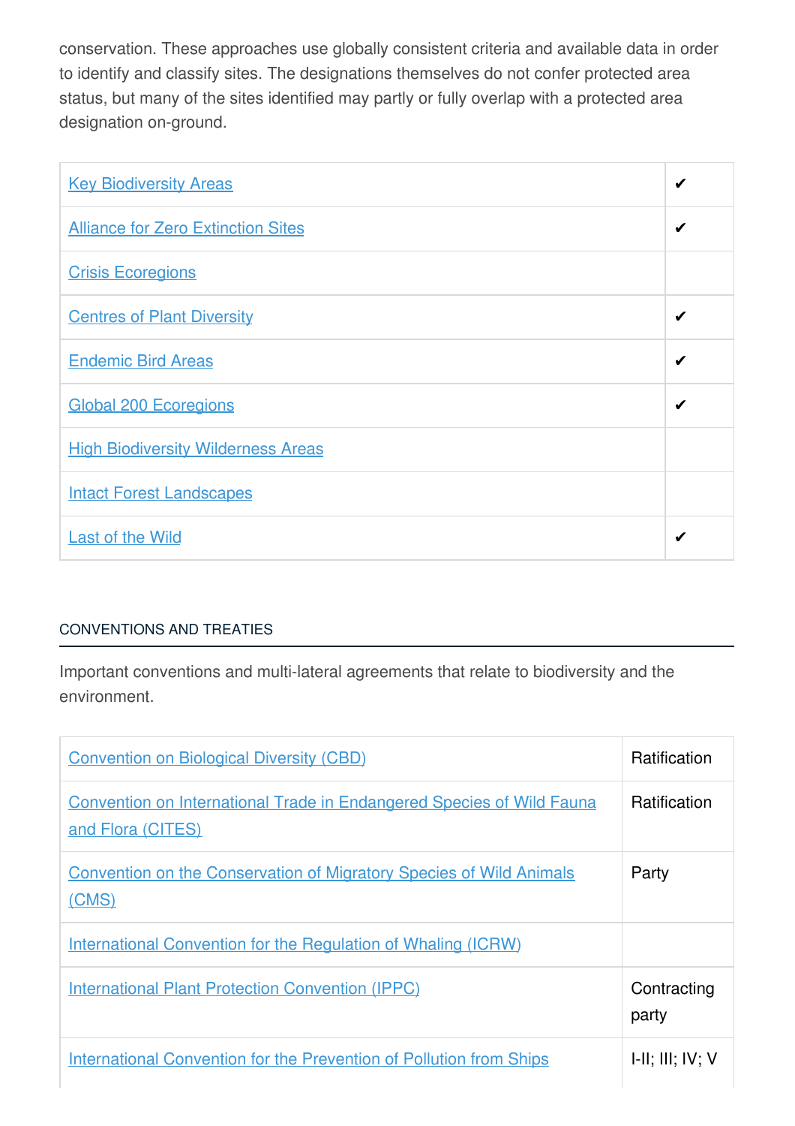conservation. These approaches use globally consistent criteria and available data in order to identify and classify sites. The designations themselves do not confer protected area status, but many of the sites identified may partly or fully overlap with a protected area designation on-ground.

| <b>Key Biodiversity Areas</b>             | ✔ |
|-------------------------------------------|---|
| <b>Alliance for Zero Extinction Sites</b> | ✔ |
| <b>Crisis Ecoregions</b>                  |   |
| <b>Centres of Plant Diversity</b>         | ✔ |
| <b>Endemic Bird Areas</b>                 | ✔ |
| <b>Global 200 Ecoregions</b>              |   |
| <b>High Biodiversity Wilderness Areas</b> |   |
| <b>Intact Forest Landscapes</b>           |   |
| <b>Last of the Wild</b>                   | ✔ |

## [CONVENTIONS](javascript:void(0)) AND TREATIES

Important conventions and multi-lateral agreements that relate to biodiversity and the environment.

| <b>Convention on Biological Diversity (CBD)</b>                                                   | <b>Ratification</b>         |
|---------------------------------------------------------------------------------------------------|-----------------------------|
| <b>Convention on International Trade in Endangered Species of Wild Fauna</b><br>and Flora (CITES) | <b>Ratification</b>         |
| <b>Convention on the Conservation of Migratory Species of Wild Animals</b><br>(CMS)               | Party                       |
| <b>International Convention for the Regulation of Whaling (ICRW)</b>                              |                             |
| <b>International Plant Protection Convention (IPPC)</b>                                           | Contracting<br>party        |
| <b>International Convention for the Prevention of Pollution from Ships</b>                        | $I-II$ ; $III$ ; $IV$ ; $V$ |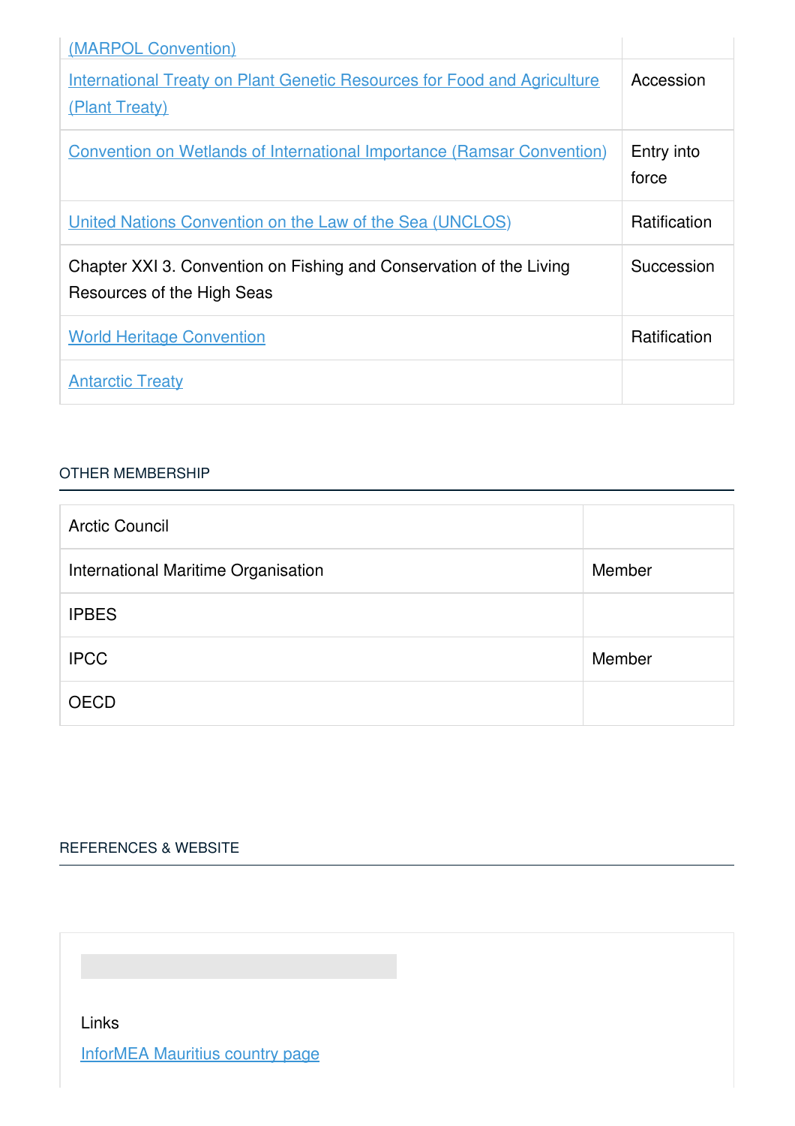| (MARPOL Convention)                                                                               |                     |
|---------------------------------------------------------------------------------------------------|---------------------|
| <b>International Treaty on Plant Genetic Resources for Food and Agriculture</b><br>(Plant Treaty) | Accession           |
| <b>Convention on Wetlands of International Importance (Ramsar Convention)</b>                     | Entry into<br>force |
| United Nations Convention on the Law of the Sea (UNCLOS)                                          | <b>Ratification</b> |
| Chapter XXI 3. Convention on Fishing and Conservation of the Living<br>Resources of the High Seas | Succession          |
| <b>World Heritage Convention</b>                                                                  | Ratification        |
| <b>Antarctic Treaty</b>                                                                           |                     |

#### OTHER [MEMBERSHIP](javascript:void(0))

| <b>Arctic Council</b>               |        |
|-------------------------------------|--------|
| International Maritime Organisation | Member |
| <b>IPBES</b>                        |        |
| <b>IPCC</b>                         | Member |
| <b>OECD</b>                         |        |

# [REFERENCES](javascript:void(0)) & WEBSITE

Links

[InforMEA](https://www.informea.org/en/countries/mu) Mauritius country page